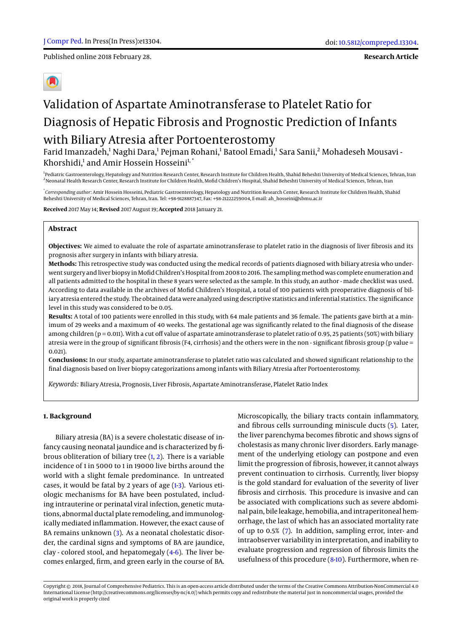Published online 2018 February 28.

# Validation of Aspartate Aminotransferase to Platelet Ratio for Diagnosis of Hepatic Fibrosis and Prognostic Prediction of Infants

# with Biliary Atresia after Portoenterostomy

Farid Imanzadeh,<sup>1</sup> Naghi Dara,<sup>1</sup> Pejman Rohani,<sup>1</sup> Batool Emadi,<sup>1</sup> Sara Sanii,<sup>2</sup> Mohadeseh Mousavi -Khorshidi,<sup>1</sup> and Amir Hossein Hosseini<sup>1,\*</sup>

<sup>1</sup> Pediatric Gastroenterology, Hepatology and Nutrition Research Center, Research Institute for Children Health, Shahid Beheshti University of Medical Sciences, Tehran, Iran <sup>2</sup>Neonatal Health Research Center, Research Institute for Children Health, Mofid Children's Hospital, Shahid Beheshti University of Medical Sciences, Tehran, Iran

\* *Corresponding author*: Amir Hossein Hosseini, Pediatric Gastroenterology, Hepatology and Nutrition Research Center, Research Institute for Children Health, Shahid Beheshti University of Medical Sciences, Tehran, Iran. Tel: +98-9128887347, Fax: +98-21222259004, E-mail: ah\_hosseini@sbmu.ac.ir

**Received** 2017 May 14; **Revised** 2017 August 19; **Accepted** 2018 January 21.

# **Abstract**

**Objectives:** We aimed to evaluate the role of aspartate aminotransferase to platelet ratio in the diagnosis of liver fibrosis and its prognosis after surgery in infants with biliary atresia.

**Methods:** This retrospective study was conducted using the medical records of patients diagnosed with biliary atresia who underwent surgery and liver biopsy in Mofid Children's Hospital from 2008 to 2016. The sampling method was complete enumeration and all patients admitted to the hospital in these 8 years were selected as the sample. In this study, an author - made checklist was used. According to data available in the archives of Mofid Children's Hospital, a total of 100 patients with preoperative diagnosis of biliary atresia entered the study. The obtained data were analyzed using descriptive statistics and inferential statistics. The significance level in this study was considered to be 0.05.

**Results:** A total of 100 patients were enrolled in this study, with 64 male patients and 36 female. The patients gave birth at a minimum of 29 weeks and a maximum of 40 weeks. The gestational age was significantly related to the final diagnosis of the disease among children (p = 0.011). With a cut off value of aspartate aminotransferase to platelet ratio of 0.95, 25 patients (50%) with biliary atresia were in the group of significant fibrosis (F4, cirrhosis) and the others were in the non - significant fibrosis group (p value = 0.021).

**Conclusions:** In our study, aspartate aminotransferase to platelet ratio was calculated and showed significant relationship to the final diagnosis based on liver biopsy categorizations among infants with Biliary Atresia after Portoenterostomy.

*Keywords:* Biliary Atresia, Prognosis, Liver Fibrosis, Aspartate Aminotransferase, Platelet Ratio Index

#### **1. Background**

Biliary atresia (BA) is a severe cholestatic disease of infancy causing neonatal jaundice and is characterized by fibrous obliteration of biliary tree [\(1,](#page-3-0) [2\)](#page-3-1). There is a variable incidence of 1 in 5000 to 1 in 19000 live births around the world with a slight female predominance. In untreated cases, it would be fatal by 2 years of age [\(1](#page-3-0)[-3\)](#page-3-2). Various etiologic mechanisms for BA have been postulated, including intrauterine or perinatal viral infection, genetic mutations, abnormal ductal plate remodeling, and immunologically mediated inflammation. However, the exact cause of BA remains unknown [\(3\)](#page-3-2). As a neonatal cholestatic disorder, the cardinal signs and symptoms of BA are jaundice, clay - colored stool, and hepatomegaly [\(4-](#page-3-3)[6\)](#page-3-4). The liver becomes enlarged, firm, and green early in the course of BA.

Microscopically, the biliary tracts contain inflammatory, and fibrous cells surrounding miniscule ducts [\(5\)](#page-3-5). Later, the liver parenchyma becomes fibrotic and shows signs of cholestasis as many chronic liver disorders. Early management of the underlying etiology can postpone and even limit the progression of fibrosis, however, it cannot always prevent continuation to cirrhosis. Currently, liver biopsy is the gold standard for evaluation of the severity of liver fibrosis and cirrhosis. This procedure is invasive and can be associated with complications such as severe abdominal pain, bile leakage, hemobilia, and intraperitoneal hemorrhage, the last of which has an associated mortality rate of up to 0.5% [\(7\)](#page-4-0). In addition, sampling error, inter- and intraobserver variability in interpretation, and inability to evaluate progression and regression of fibrosis limits the usefulness of this procedure [\(8-](#page-4-1)[10\)](#page-4-2). Furthermore, when re-

Copyright © 2018, Journal of Comprehensive Pediatrics. This is an open-access article distributed under the terms of the Creative Commons Attribution-NonCommercial 4.0 International License (http://creativecommons.org/licenses/by-nc/4.0/) which permits copy and redistribute the material just in noncommercial usages, provided the original work is properly cited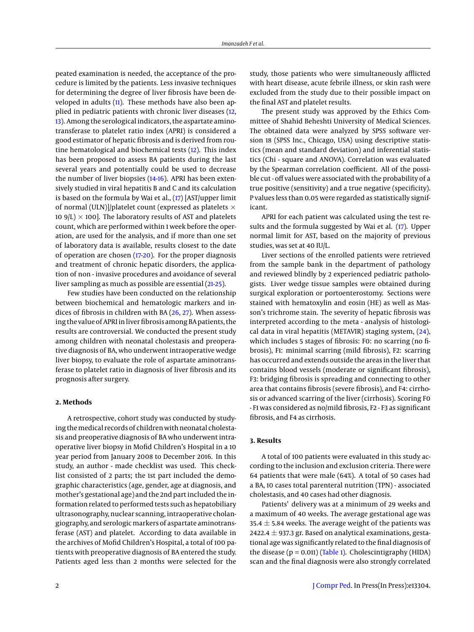peated examination is needed, the acceptance of the procedure is limited by the patients. Less invasive techniques for determining the degree of liver fibrosis have been developed in adults [\(11\)](#page-4-3). These methods have also been applied in pediatric patients with chronic liver diseases [\(12,](#page-4-4) [13\)](#page-4-5). Among the serological indicators, the aspartate aminotransferase to platelet ratio index (APRI) is considered a good estimator of hepatic fibrosis and is derived from routine hematological and biochemical tests [\(12\)](#page-4-4). This index has been proposed to assess BA patients during the last several years and potentially could be used to decrease the number of liver biopsies [\(14](#page-4-6)[-16\)](#page-4-7). APRI has been extensively studied in viral hepatitis B and C and its calculation is based on the formula by Wai et al., [\(17\)](#page-4-8) [AST/upper limit of normal (ULN)]/platelet count (expressed as platelets  $\times$ 10  $9/L$ )  $\times$  100]. The laboratory results of AST and platelets count, which are performed within 1 week before the operation, are used for the analysis, and if more than one set of laboratory data is available, results closest to the date of operation are chosen [\(17-](#page-4-8)[20\)](#page-4-9). For the proper diagnosis and treatment of chronic hepatic disorders, the application of non - invasive procedures and avoidance of several liver sampling as much as possible are essential [\(21-](#page-4-10)[25\)](#page-4-11).

Few studies have been conducted on the relationship between biochemical and hematologic markers and indices of fibrosis in children with BA [\(26,](#page-4-12) [27\)](#page-4-13). When assessing the value of APRI in liver fibrosis among BA patients, the results are controversial. We conducted the present study among children with neonatal cholestasis and preoperative diagnosis of BA, who underwent intraoperative wedge liver biopsy, to evaluate the role of aspartate aminotransferase to platelet ratio in diagnosis of liver fibrosis and its prognosis after surgery.

# **2. Methods**

A retrospective, cohort study was conducted by studying the medical records of children with neonatal cholestasis and preoperative diagnosis of BA who underwent intraoperative liver biopsy in Mofid Children's Hospital in a 10 year period from January 2008 to December 2016. In this study, an author - made checklist was used. This checklist consisted of 2 parts; the 1st part included the demographic characteristics (age, gender, age at diagnosis, and mother's gestational age) and the 2nd part included the information related to performed tests such as hepatobiliary ultrasonography, nuclear scanning, intraoperative cholangiography, and serologic markers of aspartate aminotransferase (AST) and platelet. According to data available in the archives of Mofid Children's Hospital, a total of 100 patients with preoperative diagnosis of BA entered the study. Patients aged less than 2 months were selected for the

study, those patients who were simultaneously afflicted with heart disease, acute febrile illness, or skin rash were excluded from the study due to their possible impact on the final AST and platelet results.

The present study was approved by the Ethics Committee of Shahid Beheshti University of Medical Sciences. The obtained data were analyzed by SPSS software version 18 (SPSS Inc., Chicago, USA) using descriptive statistics (mean and standard deviation) and inferential statistics (Chi - square and ANOVA). Correlation was evaluated by the Spearman correlation coefficient. All of the possible cut - off values were associated with the probability of a true positive (sensitivity) and a true negative (specificity). P values less than 0.05 were regarded as statistically significant.

APRI for each patient was calculated using the test results and the formula suggested by Wai et al. [\(17\)](#page-4-8). Upper normal limit for AST, based on the majority of previous studies, was set at 40 IU/L.

Liver sections of the enrolled patients were retrieved from the sample bank in the department of pathology and reviewed blindly by 2 experienced pediatric pathologists. Liver wedge tissue samples were obtained during surgical exploration or portoenterostomy. Sections were stained with hematoxylin and eosin (HE) as well as Masson's trichrome stain. The severity of hepatic fibrosis was interpreted according to the meta - analysis of histological data in viral hepatitis (METAVIR) staging system, [\(24\)](#page-4-14), which includes 5 stages of fibrosis: F0: no scarring (no fibrosis), F1: minimal scarring (mild fibrosis), F2: scarring has occurred and extends outside the areas in the liver that contains blood vessels (moderate or significant fibrosis), F3: bridging fibrosis is spreading and connecting to other area that contains fibrosis (severe fibrosis), and F4: cirrhosis or advanced scarring of the liver (cirrhosis). Scoring F0 - F1 was considered as no/mild fibrosis, F2 - F3 as significant fibrosis, and F4 as cirrhosis.

# **3. Results**

A total of 100 patients were evaluated in this study according to the inclusion and exclusion criteria. There were 64 patients that were male (64%). A total of 50 cases had a BA, 10 cases total parenteral nutrition (TPN) - associated cholestasis, and 40 cases had other diagnosis.

Patients' delivery was at a minimum of 29 weeks and a maximum of 40 weeks. The average gestational age was 35.4  $\pm$  5.84 weeks. The average weight of the patients was 2422.4  $\pm$  937.3 gr. Based on analytical examinations, gestational age was significantly related to the final diagnosis of the disease  $(p = 0.011)$  [\(Table 1\)](#page-3-6). Cholescintigraphy (HIDA) scan and the final diagnosis were also strongly correlated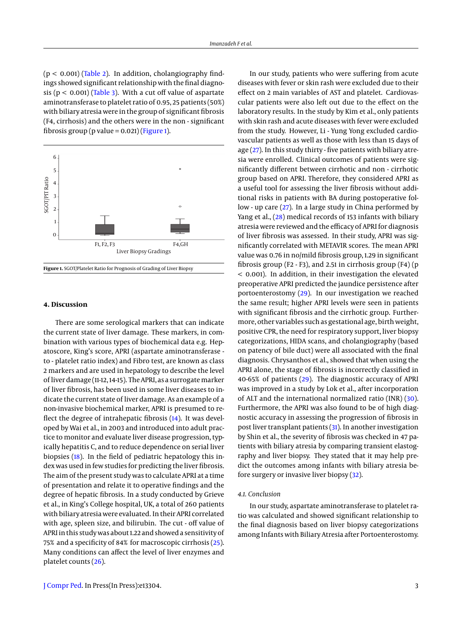( $p < 0.001$ ) [\(Table 2\)](#page-3-7). In addition, cholangiography findings showed significant relationship with the final diagnosis ( $p < 0.001$ ) [\(Table 3\)](#page-3-8). With a cut off value of aspartate aminotransferase to platelet ratio of 0.95, 25 patients (50%) with biliary atresia were in the group of significant fibrosis (F4, cirrhosis) and the others were in the non - significant fibrosis group (p value =  $0.021$ ) [\(Figure 1\)](#page-2-0).

<span id="page-2-0"></span>

#### **4. Discussion**

There are some serological markers that can indicate the current state of liver damage. These markers, in combination with various types of biochemical data e.g. Hepatoscore, King's score, APRI (aspartate aminotransferase to - platelet ratio index) and Fibro test, are known as class 2 markers and are used in hepatology to describe the level of liver damage (11-12, 14-15). The APRI, as a surrogate marker of liver fibrosis, has been used in some liver diseases to indicate the current state of liver damage. As an example of a non-invasive biochemical marker, APRI is presumed to re-flect the degree of intrahepatic fibrosis [\(14\)](#page-4-6). It was developed by Wai et al., in 2003 and introduced into adult practice to monitor and evaluate liver disease progression, typically hepatitis C, and to reduce dependence on serial liver biopsies [\(18\)](#page-4-15). In the field of pediatric hepatology this index was used in few studies for predicting the liver fibrosis. The aim of the present study was to calculate APRI at a time of presentation and relate it to operative findings and the degree of hepatic fibrosis. In a study conducted by Grieve et al., in King's College hospital, UK, a total of 260 patients with biliary atresia were evaluated. In their APRI correlated with age, spleen size, and bilirubin. The cut - off value of APRI in this study was about 1.22 and showed a sensitivity of 75% and a specificity of 84% for macroscopic cirrhosis [\(25\)](#page-4-11). Many conditions can affect the level of liver enzymes and platelet counts [\(26\)](#page-4-12).

[J Compr Ped.](http://comprped.com) In Press(In Press):e13304. 3

In our study, patients who were suffering from acute diseases with fever or skin rash were excluded due to their effect on 2 main variables of AST and platelet. Cardiovascular patients were also left out due to the effect on the laboratory results. In the study by Kim et al., only patients with skin rash and acute diseases with fever were excluded from the study. However, Li - Yung Yong excluded cardiovascular patients as well as those with less than 15 days of age [\(27\)](#page-4-13). In this study thirty - five patients with biliary atresia were enrolled. Clinical outcomes of patients were significantly different between cirrhotic and non - cirrhotic group based on APRI. Therefore, they considered APRI as a useful tool for assessing the liver fibrosis without additional risks in patients with BA during postoperative follow - up care [\(27\)](#page-4-13). In a large study in China performed by Yang et al., [\(28\)](#page-4-16) medical records of 153 infants with biliary atresia were reviewed and the efficacy of APRI for diagnosis of liver fibrosis was assessed. In their study, APRI was significantly correlated with METAVIR scores. The mean APRI value was 0.76 in no/mild fibrosis group, 1.29 in significant fibrosis group (F2 - F3), and 2.51 in cirrhosis group (F4) (p < 0.001). In addition, in their investigation the elevated preoperative APRI predicted the jaundice persistence after portoenterostomy [\(29\)](#page-4-17). In our investigation we reached the same result; higher APRI levels were seen in patients with significant fibrosis and the cirrhotic group. Furthermore, other variables such as gestational age, birth weight, positive CPR, the need for respiratory support, liver biopsy categorizations, HIDA scans, and cholangiography (based on patency of bile duct) were all associated with the final diagnosis. Chrysanthos et al., showed that when using the APRI alone, the stage of fibrosis is incorrectly classified in 40-65% of patients [\(29\)](#page-4-17). The diagnostic accuracy of APRI was improved in a study by Lok et al., after incorporation of ALT and the international normalized ratio (INR) [\(30\)](#page-4-18). Furthermore, the APRI was also found to be of high diagnostic accuracy in assessing the progression of fibrosis in post liver transplant patients [\(31\)](#page-4-19). In another investigation by Shin et al., the severity of fibrosis was checked in 47 patients with biliary atresia by comparing transient elastography and liver biopsy. They stated that it may help predict the outcomes among infants with biliary atresia before surgery or invasive liver biopsy [\(32\)](#page-4-20).

#### *4.1. Conclusion*

In our study, aspartate aminotransferase to platelet ratio was calculated and showed significant relationship to the final diagnosis based on liver biopsy categorizations among Infants with Biliary Atresia after Portoenterostomy.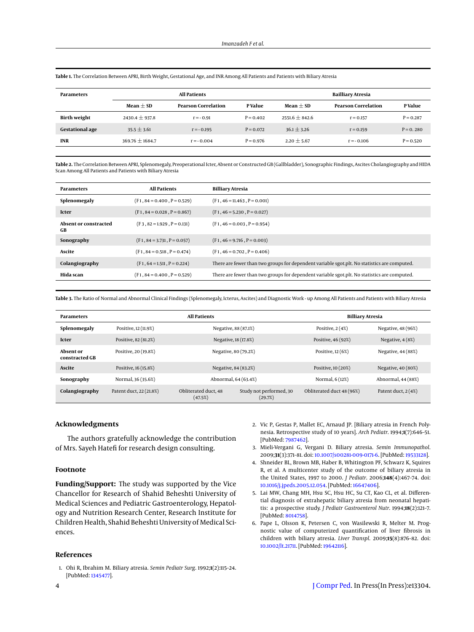| <b>Parameters</b>      | <b>All Patients</b> |                            |             | Bailliary Atresia |                            |             |
|------------------------|---------------------|----------------------------|-------------|-------------------|----------------------------|-------------|
|                        | Mean $\pm$ SD       | <b>Pearson Correlation</b> | P Value     | $Mean + SD$       | <b>Pearson Correlation</b> | P Value     |
| <b>Birth weight</b>    | $2430.4 \pm 937.8$  | $r = -0.91$                | $P = 0.402$ | $2551.6 + 842.6$  | $r = 0.157$                | $P = 0.287$ |
| <b>Gestational age</b> | $35.5 \pm 3.61$     | $r = -0.195$               | $P = 0.072$ | $36.1 \pm 3.26$   | $r = 0.159$                | $P = 0.280$ |
| <b>INR</b>             | $369.76 \pm 1684.7$ | $r = -0.004$               | $P = 0.976$ | $2.20 \pm 5.67$   | $r = -0.106$               | $P = 0.520$ |

<span id="page-3-6"></span>**Table 1.** The Correlation Between APRI, Birth Weight, Gestational Age, and INR Among All Patients and Patients with Biliary Atresia

<span id="page-3-7"></span>**Table 2.** The Correlation Between APRI, Splenomegaly, Preoperational Icter, Absent or Constructed GB (Gallbladder), Sonographic Findings, Ascites Cholangiography and HIDA Scan Among All Patients and Patients with Biliary Atresia

| <b>Parameters</b>           | <b>All Patients</b>           | Billiary Atresia                                                                             |
|-----------------------------|-------------------------------|----------------------------------------------------------------------------------------------|
| Splenomegaly                | $(F1, 84 = 0.400, P = 0.529)$ | $(F1, 46 = 11.463, P = 0.001)$                                                               |
| Icter                       | $(F1, 84 = 0.028, P = 0.867)$ | $(F1, 46 = 5.230, P = 0.027)$                                                                |
| Absent or constracted<br>GB | $(F3, 82 = 1.929, P = 0.131)$ | $(F1, 46 = 0.003, P = 0.954)$                                                                |
| Sonography                  | $(F1, 84 = 3.731, P = 0.057)$ | $(F1, 46 = 9.716, P = 0.003)$                                                                |
| Ascite                      | $(F1, 84 = 0.518, P = 0.474)$ | $(F1, 46 = 0.702, P = 0.406)$                                                                |
| Colangiography              | $(F1, 64 = 1.511, P = 0.224)$ | There are fewer than two groups for dependent variable sgot.plt. No statistics are computed. |
| Hida scan                   | $(F1, 84 = 0.400, P = 0.529)$ | There are fewer than two groups for dependent variable sgot.plt. No statistics are computed. |

<span id="page-3-8"></span>**Table 3.** The Ratio of Normal and Abnormal Clinical Findings (Splenomegaly, Icterus, Ascites) and Diagnostic Work - up Among All Patients and Patients with Biliary Atresia

| <b>Parameters</b>           | <b>All Patients</b>     |                                 |                                    | <b>Billiary Atresia</b>   |                      |  |
|-----------------------------|-------------------------|---------------------------------|------------------------------------|---------------------------|----------------------|--|
| Splenomegaly                | Positive, 12 (11.9%)    | Negative, 88 (87.1%)            |                                    | Positive, $2(4%)$         | Negative, 48 (96%)   |  |
| Icter                       | Positive, 82 (81.2%)    | Negative, 18 (17.8%)            |                                    | Positive, 46 (92%)        | Negative, $4(8%)$    |  |
| Absent or<br>constracted GB | Positive, 20 (19.8%)    | Negative, 80 (79.2%)            |                                    | Positive, 12 (6%)         | Negative, 44 (88%)   |  |
| Ascite                      | Positive, 16 (15.8%)    | Negative, 84 (83.2%)            |                                    | Positive, 10 (20%)        | Negative, 40 (80%)   |  |
| Sonography                  | Normal, 36 (35.6%)      | Abnormal, 64 (63.4%)            |                                    | Normal, 6 (12%)           | Abnormal, 44 (88%)   |  |
| Colangiography              | Patent duct, 22 (21.8%) | Obliterated duct, 48<br>(47.5%) | Study not performed, 30<br>(29.7%) | Obliterated duct 48 (96%) | Patent duct, $2(4%)$ |  |

#### **Acknowledgments**

The authors gratefully acknowledge the contribution of Mrs. Sayeh Hatefi for research design consulting.

## **Footnote**

**Funding/Support:** The study was supported by the Vice Chancellor for Research of Shahid Beheshti University of Medical Sciences and Pediatric Gastroenterology, Hepatology and Nutrition Research Center, Research Institute for Children Health, Shahid Beheshti University of Medical Sciences.

#### **References**

<span id="page-3-0"></span>1. Ohi R, Ibrahim M. Biliary atresia. *Semin Pediatr Surg*. 1992;**1**(2):115–24. [PubMed: [1345477\]](http://www.ncbi.nlm.nih.gov/pubmed/1345477).

- <span id="page-3-1"></span>2. Vic P, Gestas P, Mallet EC, Arnaud JP. [Biliary atresia in French Polynesia. Retrospective study of 10 years]. *Arch Pediatr*. 1994;**1**(7):646–51. [PubMed: [7987462\]](http://www.ncbi.nlm.nih.gov/pubmed/7987462).
- <span id="page-3-2"></span>3. Mieli-Vergani G, Vergani D. Biliary atresia. *Semin Immunopathol*. 2009;**31**(3):371–81. doi: [10.1007/s00281-009-0171-6.](http://dx.doi.org/10.1007/s00281-009-0171-6) [PubMed: [19533128\]](http://www.ncbi.nlm.nih.gov/pubmed/19533128).
- <span id="page-3-3"></span>4. Shneider BL, Brown MB, Haber B, Whitington PF, Schwarz K, Squires R, et al. A multicenter study of the outcome of biliary atresia in the United States, 1997 to 2000. *J Pediatr*. 2006;**148**(4):467–74. doi: [10.1016/j.jpeds.2005.12.054.](http://dx.doi.org/10.1016/j.jpeds.2005.12.054) [PubMed: [16647406\]](http://www.ncbi.nlm.nih.gov/pubmed/16647406).
- <span id="page-3-5"></span>5. Lai MW, Chang MH, Hsu SC, Hsu HC, Su CT, Kao CL, et al. Differential diagnosis of extrahepatic biliary atresia from neonatal hepatitis: a prospective study. *J Pediatr Gastroenterol Nutr*. 1994;**18**(2):121–7. [PubMed: [8014758\]](http://www.ncbi.nlm.nih.gov/pubmed/8014758).
- <span id="page-3-4"></span>6. Pape L, Olsson K, Petersen C, von Wasilewski R, Melter M. Prognostic value of computerized quantification of liver fibrosis in children with biliary atresia. *Liver Transpl*. 2009;**15**(8):876–82. doi: [10.1002/lt.21711.](http://dx.doi.org/10.1002/lt.21711) [PubMed: [19642116\]](http://www.ncbi.nlm.nih.gov/pubmed/19642116).